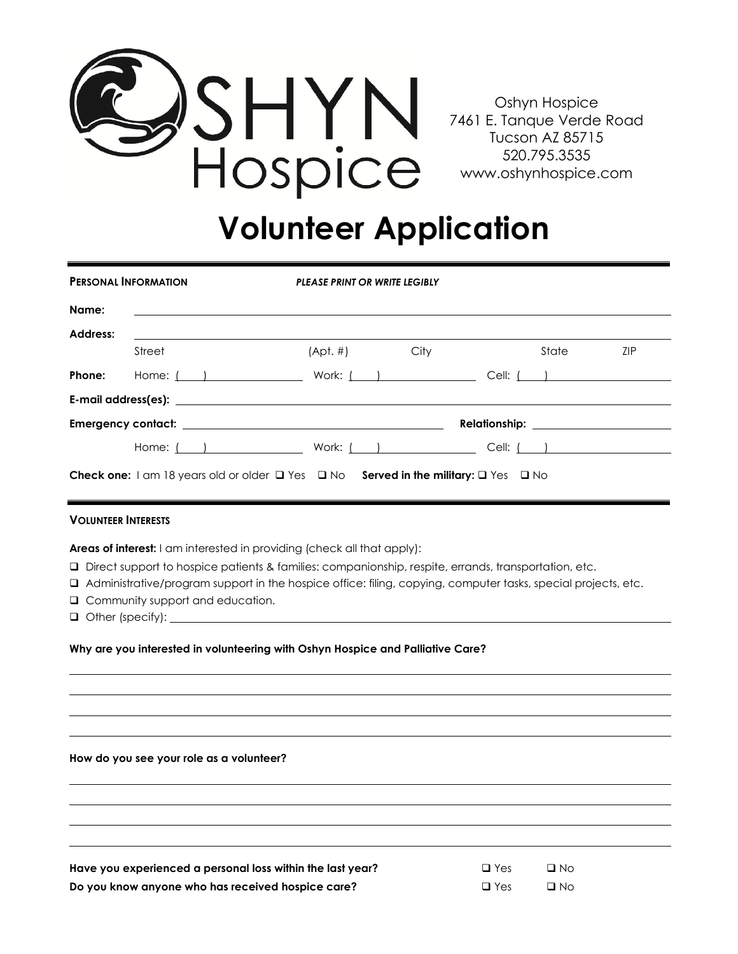

Oshyn Hospice 7461 E. Tanque Verde Road Tucson AZ 85715 520.795.3535 www.oshynhospice.com

## **Volunteer Application**

| <b>PERSONAL INFORMATION</b>                                                                                                                                                                                                                                                                                                                                                                |                                                                                                                                                                                                                                                              | <b>PLEASE PRINT OR WRITE LEGIBLY</b> |  |  |       |            |
|--------------------------------------------------------------------------------------------------------------------------------------------------------------------------------------------------------------------------------------------------------------------------------------------------------------------------------------------------------------------------------------------|--------------------------------------------------------------------------------------------------------------------------------------------------------------------------------------------------------------------------------------------------------------|--------------------------------------|--|--|-------|------------|
| Name:                                                                                                                                                                                                                                                                                                                                                                                      |                                                                                                                                                                                                                                                              |                                      |  |  |       |            |
| Address:                                                                                                                                                                                                                                                                                                                                                                                   |                                                                                                                                                                                                                                                              |                                      |  |  |       |            |
|                                                                                                                                                                                                                                                                                                                                                                                            | Street                                                                                                                                                                                                                                                       | $(Apt. #)$ City                      |  |  | State | <b>ZIP</b> |
| Phone:                                                                                                                                                                                                                                                                                                                                                                                     | Home: $($ $)$ $)$ $=$ $\vee$ $\vee$ $\vee$ $\vee$ $\vee$ $\vee$ $\vee$ $\vee$ $\vee$ $\vee$ $\vee$ $\vee$ $\vee$ $\vee$ $\vee$ $\vee$ $\vee$ $\vee$ $\vee$ $\vee$ $\vee$ $\vee$ $\vee$ $\vee$ $\vee$ $\vee$ $\vee$ $\vee$ $\vee$ $\vee$ $\vee$ $\vee$ $\vee$ |                                      |  |  |       |            |
|                                                                                                                                                                                                                                                                                                                                                                                            |                                                                                                                                                                                                                                                              |                                      |  |  |       |            |
|                                                                                                                                                                                                                                                                                                                                                                                            |                                                                                                                                                                                                                                                              |                                      |  |  |       |            |
|                                                                                                                                                                                                                                                                                                                                                                                            | Home: ( ) Work: ( ) Cell: ( ) Cell: ( )                                                                                                                                                                                                                      |                                      |  |  |       |            |
| <b>Check one:</b> $1 \text{ cm } 18 \text{ years}$ old or older $\Box$ Yes $\Box$ No <b>Served in the military:</b> $\Box$ Yes $\Box$ No                                                                                                                                                                                                                                                   |                                                                                                                                                                                                                                                              |                                      |  |  |       |            |
| <b>VOLUNTEER INTERESTS</b>                                                                                                                                                                                                                                                                                                                                                                 |                                                                                                                                                                                                                                                              |                                      |  |  |       |            |
| <b>Areas of interest:</b> I am interested in providing (check all that apply):<br><b>Q</b> Direct support to hospice patients & families: companionship, respite, errands, transportation, etc.<br>□ Administrative/program support in the hospice office: filing, copying, computer tasks, special projects, etc.<br>□ Community support and education.<br>$\Box$ Other (specify): $\Box$ |                                                                                                                                                                                                                                                              |                                      |  |  |       |            |
| Why are you interested in volunteering with Oshyn Hospice and Palliative Care?                                                                                                                                                                                                                                                                                                             |                                                                                                                                                                                                                                                              |                                      |  |  |       |            |

**How do you see your role as a volunteer?** 

Have you experienced a personal loss within the last year? **Do you know anyone who has received hospice care?** 

| $\Box$ Yes | $\Box$ No |
|------------|-----------|
| $\Box$ Yes | $\Box$ No |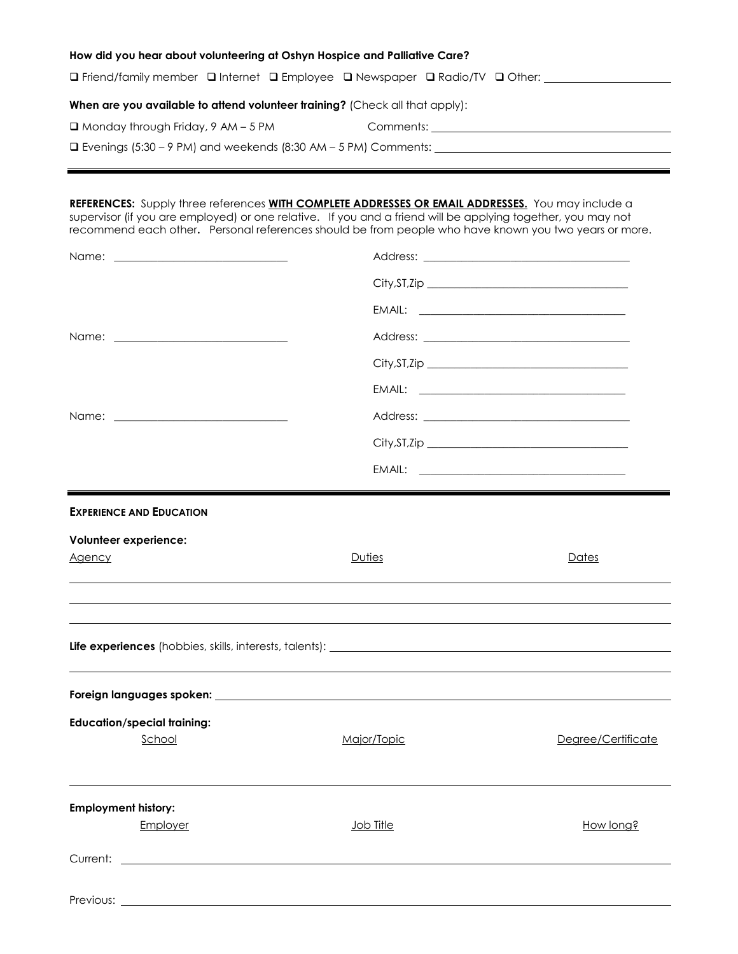| How did you hear about volunteering at Oshyn Hospice and Palliative Care?    |                                                                                                                                                                                                                                    |  |  |  |
|------------------------------------------------------------------------------|------------------------------------------------------------------------------------------------------------------------------------------------------------------------------------------------------------------------------------|--|--|--|
|                                                                              | $\Box$ Friend/family member $\Box$ Internet $\Box$ Employee $\Box$ Newspaper $\Box$ Radio/TV $\Box$ Other:                                                                                                                         |  |  |  |
| When are you available to attend volunteer training? (Check all that apply): |                                                                                                                                                                                                                                    |  |  |  |
| $\Box$ Monday through Friday, 9 AM – 5 PM                                    | Comments: <u>comments:</u> comments: comments: comments: comments: comments: comments: comments: comments: comments: comments: comments: comments: comments: comments: comments: comments: comments: comments: comments: comments: |  |  |  |
|                                                                              |                                                                                                                                                                                                                                    |  |  |  |

|                                                     | REFERENCES: Supply three references WITH COMPLETE ADDRESSES OR EMAIL ADDRESSES. You may include a<br>supervisor (if you are employed) or one relative. If you and a friend will be applying together, you may not<br>recommend each other. Personal references should be from people who have known you two years or more. |                    |
|-----------------------------------------------------|----------------------------------------------------------------------------------------------------------------------------------------------------------------------------------------------------------------------------------------------------------------------------------------------------------------------------|--------------------|
|                                                     |                                                                                                                                                                                                                                                                                                                            |                    |
|                                                     |                                                                                                                                                                                                                                                                                                                            |                    |
|                                                     |                                                                                                                                                                                                                                                                                                                            |                    |
|                                                     |                                                                                                                                                                                                                                                                                                                            |                    |
|                                                     |                                                                                                                                                                                                                                                                                                                            |                    |
|                                                     |                                                                                                                                                                                                                                                                                                                            |                    |
|                                                     |                                                                                                                                                                                                                                                                                                                            |                    |
|                                                     |                                                                                                                                                                                                                                                                                                                            |                    |
|                                                     |                                                                                                                                                                                                                                                                                                                            |                    |
| Volunteer experience:<br><b>Agency</b>              | Duties                                                                                                                                                                                                                                                                                                                     | Dates              |
|                                                     |                                                                                                                                                                                                                                                                                                                            |                    |
|                                                     |                                                                                                                                                                                                                                                                                                                            |                    |
| <b>Education/special training:</b><br><u>School</u> | Major/Topic                                                                                                                                                                                                                                                                                                                | Degree/Certificate |
| <b>Employment history:</b><br>Employer              | Job Title                                                                                                                                                                                                                                                                                                                  | How long?          |
| Current: <u>_________________________</u>           |                                                                                                                                                                                                                                                                                                                            |                    |